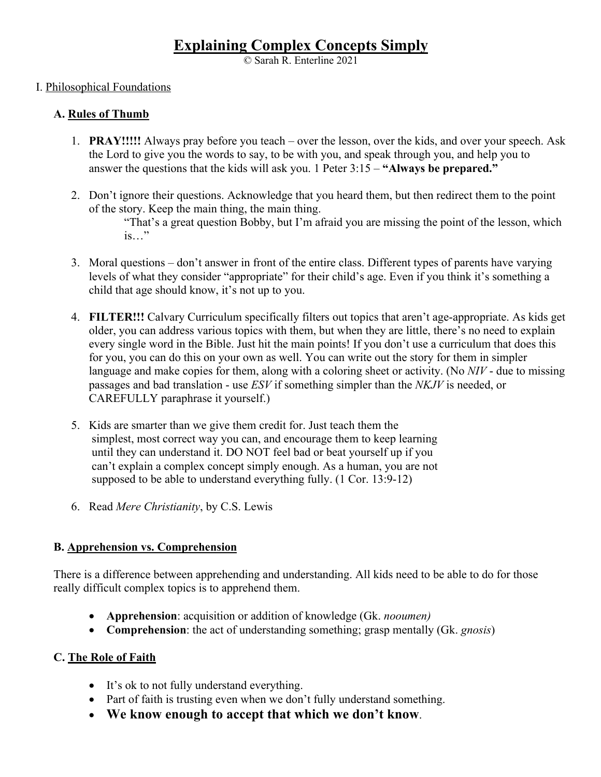# **Explaining Complex Concepts Simply**

© Sarah R. Enterline 2021

## I. Philosophical Foundations

## **A. Rules of Thumb**

- 1. **PRAY!!!!!** Always pray before you teach over the lesson, over the kids, and over your speech. Ask the Lord to give you the words to say, to be with you, and speak through you, and help you to answer the questions that the kids will ask you. 1 Peter 3:15 – **"Always be prepared."**
- 2. Don't ignore their questions. Acknowledge that you heard them, but then redirect them to the point of the story. Keep the main thing, the main thing.

"That's a great question Bobby, but I'm afraid you are missing the point of the lesson, which is…"

- 3. Moral questions don't answer in front of the entire class. Different types of parents have varying levels of what they consider "appropriate" for their child's age. Even if you think it's something a child that age should know, it's not up to you.
- 4. **FILTER!!!** Calvary Curriculum specifically filters out topics that aren't age-appropriate. As kids get older, you can address various topics with them, but when they are little, there's no need to explain every single word in the Bible. Just hit the main points! If you don't use a curriculum that does this for you, you can do this on your own as well. You can write out the story for them in simpler language and make copies for them, along with a coloring sheet or activity. (No *NIV* - due to missing passages and bad translation - use *ESV* if something simpler than the *NKJV* is needed, or CAREFULLY paraphrase it yourself.)
- 5. Kids are smarter than we give them credit for. Just teach them the simplest, most correct way you can, and encourage them to keep learning until they can understand it. DO NOT feel bad or beat yourself up if you can't explain a complex concept simply enough. As a human, you are not supposed to be able to understand everything fully. (1 Cor. 13:9-12)
- 6.Read *Mere Christianity*, by C.S. Lewis

#### **B. Apprehension vs. Comprehension**

There is a difference between apprehending and understanding. All kids need to be able to do for those really difficult complex topics is to apprehend them.

- **Apprehension**: acquisition or addition of knowledge (Gk. *nooumen)*
- **Comprehension**: the act of understanding something; grasp mentally (Gk. *gnosis*)

## **C. The Role of Faith**

- It's ok to not fully understand everything.
- Part of faith is trusting even when we don't fully understand something.
- **We know enough to accept that which we don't know**.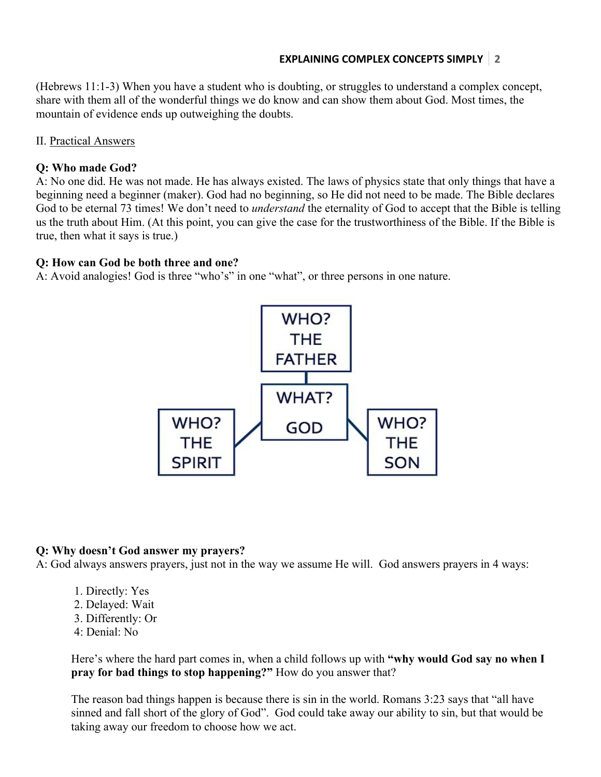## **EXPLAINING COMPLEX CONCEPTS SIMPLY 2**

(Hebrews 11:1-3) When you have a student who is doubting, or struggles to understand a complex concept, share with them all of the wonderful things we do know and can show them about God. Most times, the mountain of evidence ends up outweighing the doubts.

#### II. Practical Answers

## **Q: Who made God?**

A: No one did. He was not made. He has always existed. The laws of physics state that only things that have a beginning need a beginner (maker). God had no beginning, so He did not need to be made. The Bible declares God to be eternal 73 times! We don't need to *understand* the eternality of God to accept that the Bible is telling us the truth about Him. (At this point, you can give the case for the trustworthiness of the Bible. If the Bible is true, then what it says is true.)

#### **Q: How can God be both three and one?**

A: Avoid analogies! God is three "who's" in one "what", or three persons in one nature.



#### **Q: Why doesn't God answer my prayers?**

A: God always answers prayers, just not in the way we assume He will. God answers prayers in 4 ways:

- 1. Directly: Yes
- 2. Delayed: Wait
- 3. Differently: Or
- 4: Denial: No

Here's where the hard part comes in, when a child follows up with **"why would God say no when I pray for bad things to stop happening?"** How do you answer that?

The reason bad things happen is because there is sin in the world. Romans 3:23 says that "all have sinned and fall short of the glory of God". God could take away our ability to sin, but that would be taking away our freedom to choose how we act.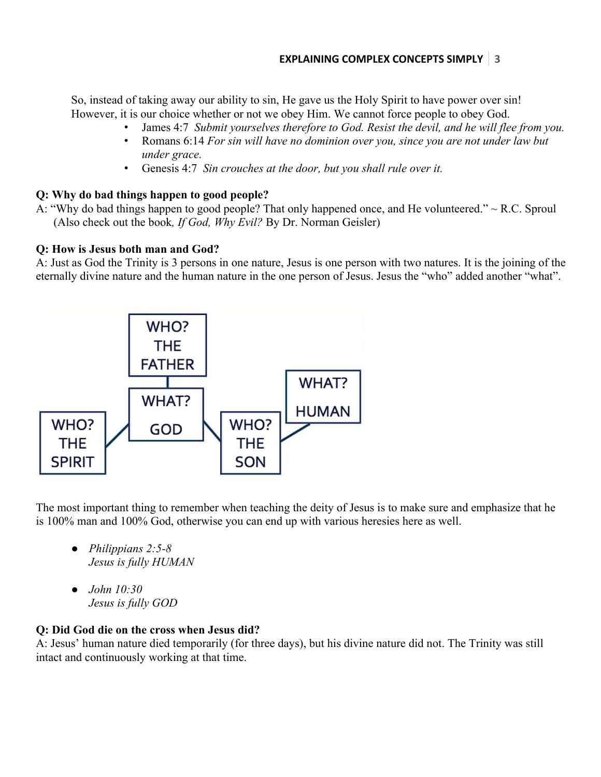So, instead of taking away our ability to sin, He gave us the Holy Spirit to have power over sin! However, it is our choice whether or not we obey Him. We cannot force people to obey God.

- James 4:7 *Submit yourselves therefore to God. Resist the devil, and he will flee from you.*
- Romans 6:14 *For sin will have no dominion over you, since you are not under law but under grace.*
- Genesis 4:7 *Sin crouches at the door, but you shall rule over it.*

## **Q: Why do bad things happen to good people?**

A: "Why do bad things happen to good people? That only happened once, and He volunteered." *~* R.C. Sproul (Also check out the book*, If God, Why Evil?* By Dr. Norman Geisler)

#### **Q: How is Jesus both man and God?**

A: Just as God the Trinity is 3 persons in one nature, Jesus is one person with two natures. It is the joining of the eternally divine nature and the human nature in the one person of Jesus. Jesus the "who" added another "what".



The most important thing to remember when teaching the deity of Jesus is to make sure and emphasize that he is 100% man and 100% God, otherwise you can end up with various heresies here as well.

- *Philippians 2:5-8 Jesus is fully HUMAN*
- *John 10:30 Jesus is fully GOD*

#### **Q: Did God die on the cross when Jesus did?**

A: Jesus' human nature died temporarily (for three days), but his divine nature did not. The Trinity was still intact and continuously working at that time.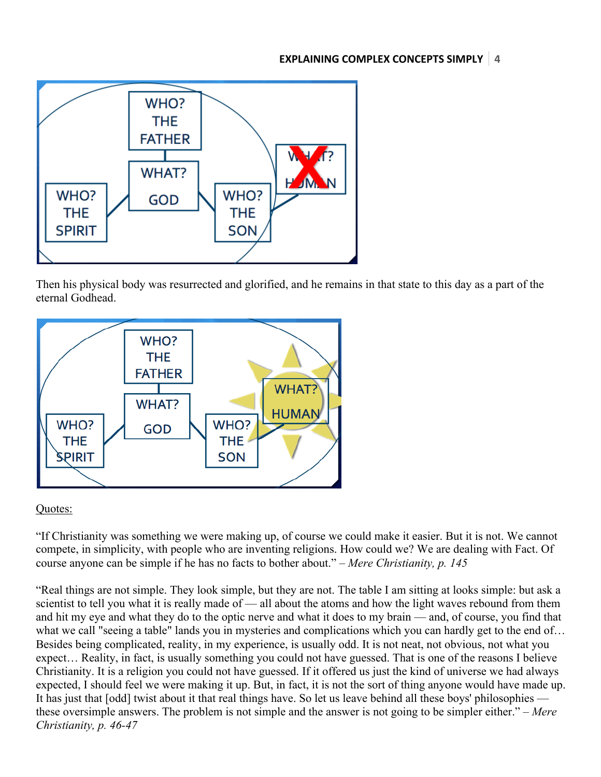

Then his physical body was resurrected and glorified, and he remains in that state to this day as a part of the eternal Godhead.



## Quotes:

"If Christianity was something we were making up, of course we could make it easier. But it is not. We cannot compete, in simplicity, with people who are inventing religions. How could we? We are dealing with Fact. Of course anyone can be simple if he has no facts to bother about." *– Mere Christianity, p. 145*

"Real things are not simple. They look simple, but they are not. The table I am sitting at looks simple: but ask a scientist to tell you what it is really made of — all about the atoms and how the light waves rebound from them and hit my eye and what they do to the optic nerve and what it does to my brain — and, of course, you find that what we call "seeing a table" lands you in mysteries and complications which you can hardly get to the end of... Besides being complicated, reality, in my experience, is usually odd. It is not neat, not obvious, not what you expect… Reality, in fact, is usually something you could not have guessed. That is one of the reasons I believe Christianity. It is a religion you could not have guessed. If it offered us just the kind of universe we had always expected, I should feel we were making it up. But, in fact, it is not the sort of thing anyone would have made up. It has just that [odd] twist about it that real things have. So let us leave behind all these boys' philosophies these oversimple answers. The problem is not simple and the answer is not going to be simpler either." *– Mere Christianity, p. 46-47*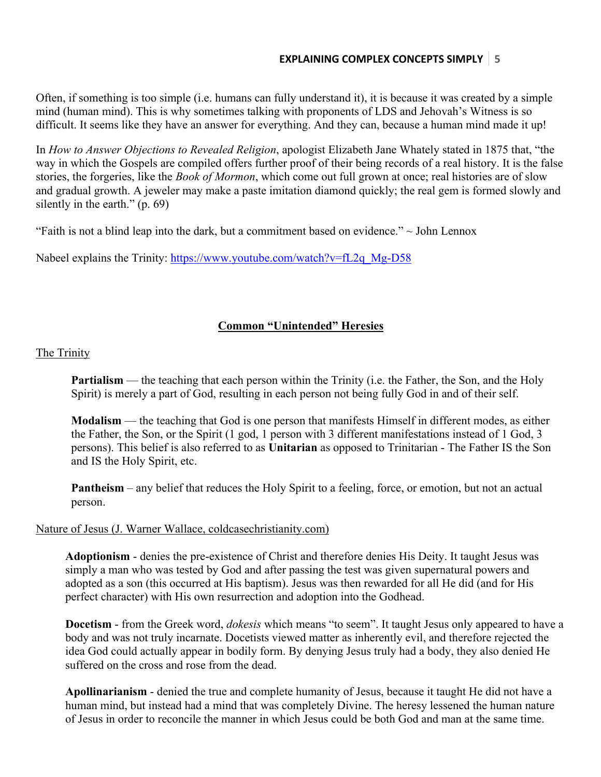Often, if something is too simple (i.e. humans can fully understand it), it is because it was created by a simple mind (human mind). This is why sometimes talking with proponents of LDS and Jehovah's Witness is so difficult. It seems like they have an answer for everything. And they can, because a human mind made it up!

In *How to Answer Objections to Revealed Religion*, apologist Elizabeth Jane Whately stated in 1875 that, "the way in which the Gospels are compiled offers further proof of their being records of a real history. It is the false stories, the forgeries, like the *Book of Mormon*, which come out full grown at once; real histories are of slow and gradual growth. A jeweler may make a paste imitation diamond quickly; the real gem is formed slowly and silently in the earth."  $(p. 69)$ 

"Faith is not a blind leap into the dark, but a commitment based on evidence."  $\sim$  John Lennox

Nabeel explains the Trinity: https://www.youtube.com/watch?v=fL2q\_Mg-D58

## **Common "Unintended" Heresies**

The Trinity

**Partialism** — the teaching that each person within the Trinity (i.e. the Father, the Son, and the Holy Spirit) is merely a part of God, resulting in each person not being fully God in and of their self.

**Modalism** — the teaching that God is one person that manifests Himself in different modes, as either the Father, the Son, or the Spirit (1 god, 1 person with 3 different manifestations instead of 1 God, 3 persons). This belief is also referred to as **Unitarian** as opposed to Trinitarian - The Father IS the Son and IS the Holy Spirit, etc.

**Pantheism** – any belief that reduces the Holy Spirit to a feeling, force, or emotion, but not an actual person.

## Nature of Jesus (J. Warner Wallace, coldcasechristianity.com)

**Adoptionism** - denies the pre-existence of Christ and therefore denies His Deity. It taught Jesus was simply a man who was tested by God and after passing the test was given supernatural powers and adopted as a son (this occurred at His baptism). Jesus was then rewarded for all He did (and for His perfect character) with His own resurrection and adoption into the Godhead.

**Docetism** - from the Greek word, *dokesis* which means "to seem". It taught Jesus only appeared to have a body and was not truly incarnate. Docetists viewed matter as inherently evil, and therefore rejected the idea God could actually appear in bodily form. By denying Jesus truly had a body, they also denied He suffered on the cross and rose from the dead.

**Apollinarianism** - denied the true and complete humanity of Jesus, because it taught He did not have a human mind, but instead had a mind that was completely Divine. The heresy lessened the human nature of Jesus in order to reconcile the manner in which Jesus could be both God and man at the same time.